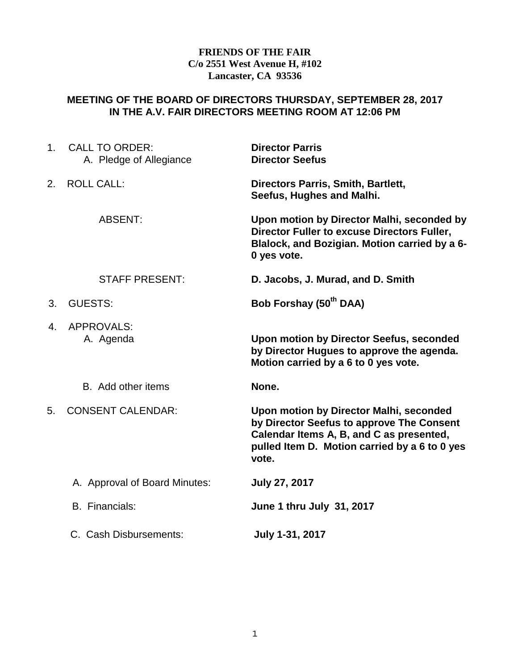## **FRIENDS OF THE FAIR C/o 2551 West Avenue H, #102 Lancaster, CA 93536**

# **MEETING OF THE BOARD OF DIRECTORS THURSDAY, SEPTEMBER 28, 2017 IN THE A.V. FAIR DIRECTORS MEETING ROOM AT 12:06 PM**

| 1 <sub>1</sub> | <b>CALL TO ORDER:</b><br>A. Pledge of Allegiance | <b>Director Parris</b><br><b>Director Seefus</b>                                                                                                                                           |
|----------------|--------------------------------------------------|--------------------------------------------------------------------------------------------------------------------------------------------------------------------------------------------|
| 2.             | <b>ROLL CALL:</b>                                | Directors Parris, Smith, Bartlett,<br>Seefus, Hughes and Malhi.                                                                                                                            |
|                | <b>ABSENT:</b>                                   | Upon motion by Director Malhi, seconded by<br>Director Fuller to excuse Directors Fuller,<br>Blalock, and Bozigian. Motion carried by a 6-<br>0 yes vote.                                  |
|                | <b>STAFF PRESENT:</b>                            | D. Jacobs, J. Murad, and D. Smith                                                                                                                                                          |
| 3.             | <b>GUESTS:</b>                                   | Bob Forshay (50 <sup>th</sup> DAA)                                                                                                                                                         |
| 4.             | <b>APPROVALS:</b><br>A. Agenda                   | Upon motion by Director Seefus, seconded<br>by Director Hugues to approve the agenda.<br>Motion carried by a 6 to 0 yes vote.                                                              |
|                | B. Add other items                               | None.                                                                                                                                                                                      |
| 5.             | <b>CONSENT CALENDAR:</b>                         | Upon motion by Director Malhi, seconded<br>by Director Seefus to approve The Consent<br>Calendar Items A, B, and C as presented,<br>pulled Item D. Motion carried by a 6 to 0 yes<br>vote. |
|                | A. Approval of Board Minutes:                    | <b>July 27, 2017</b>                                                                                                                                                                       |
|                | <b>B.</b> Financials:                            | June 1 thru July 31, 2017                                                                                                                                                                  |
|                | C. Cash Disbursements:                           | July 1-31, 2017                                                                                                                                                                            |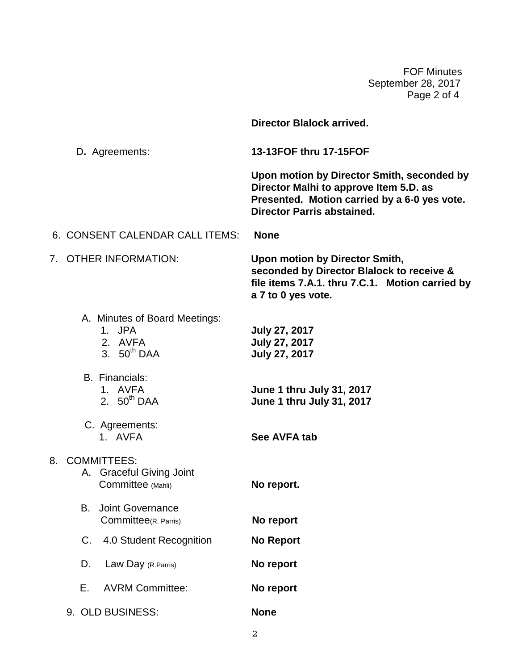FOF Minutes September 28, 2017 Page 2 of 4

|                                                                        | <b>Director Blalock arrived.</b>                                                                                                                                          |
|------------------------------------------------------------------------|---------------------------------------------------------------------------------------------------------------------------------------------------------------------------|
| D. Agreements:                                                         | 13-13FOF thru 17-15FOF                                                                                                                                                    |
|                                                                        | Upon motion by Director Smith, seconded by<br>Director Malhi to approve Item 5.D. as<br>Presented. Motion carried by a 6-0 yes vote.<br><b>Director Parris abstained.</b> |
| 6. CONSENT CALENDAR CALL ITEMS:                                        | <b>None</b>                                                                                                                                                               |
| 7. OTHER INFORMATION:                                                  | <b>Upon motion by Director Smith,</b><br>seconded by Director Blalock to receive &<br>file items 7.A.1. thru 7.C.1. Motion carried by<br>a 7 to 0 yes vote.               |
| A. Minutes of Board Meetings:<br>1. JPA<br>2. AVFA<br>3. $50^{th}$ DAA | <b>July 27, 2017</b><br>July 27, 2017<br>July 27, 2017                                                                                                                    |
| <b>B.</b> Financials:<br>1. AVFA<br>2. $50^{th}$ DAA                   | June 1 thru July 31, 2017<br>June 1 thru July 31, 2017                                                                                                                    |
| C. Agreements:<br>1. AVFA                                              | See AVFA tab                                                                                                                                                              |
| 8. COMMITTEES:<br>A. Graceful Giving Joint<br>Committee (Mahli)        | No report.                                                                                                                                                                |
| B.<br><b>Joint Governance</b><br>Committee(R. Parris)                  | No report                                                                                                                                                                 |
| 4.0 Student Recognition<br>C.                                          | <b>No Report</b>                                                                                                                                                          |
| D.<br>Law Day (R.Parris)                                               | No report                                                                                                                                                                 |
| Е.<br><b>AVRM Committee:</b>                                           | No report                                                                                                                                                                 |
| 9. OLD BUSINESS:                                                       | <b>None</b>                                                                                                                                                               |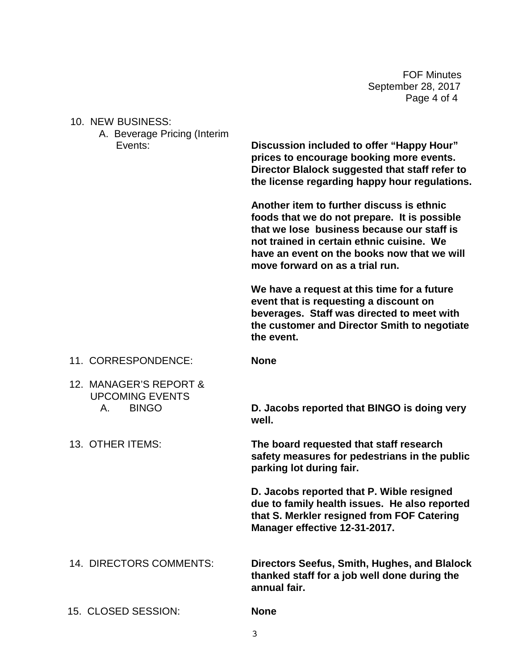FOF Minutes September 28, 2017 Page 4 of 4

### 10. NEW BUSINESS:

A. Beverage Pricing (Interim

 Events: **Discussion included to offer "Happy Hour" prices to encourage booking more events. Director Blalock suggested that staff refer to the license regarding happy hour regulations.**

> **Another item to further discuss is ethnic foods that we do not prepare. It is possible that we lose business because our staff is not trained in certain ethnic cuisine. We have an event on the books now that we will move forward on as a trial run.**

**We have a request at this time for a future event that is requesting a discount on beverages. Staff was directed to meet with the customer and Director Smith to negotiate the event.**

- 11. CORRESPONDENCE: **None**
- 12. MANAGER'S REPORT & UPCOMING EVENTS

A. BINGO **D. Jacobs reported that BINGO is doing very well.**

 13. OTHER ITEMS: **The board requested that staff research safety measures for pedestrians in the public parking lot during fair.**

> **D. Jacobs reported that P. Wible resigned due to family health issues. He also reported that S. Merkler resigned from FOF Catering Manager effective 12-31-2017.**

 14.DIRECTORS COMMENTS: **Directors Seefus, Smith, Hughes, and Blalock thanked staff for a job well done during the annual fair.**

15. CLOSED SESSION: **None**